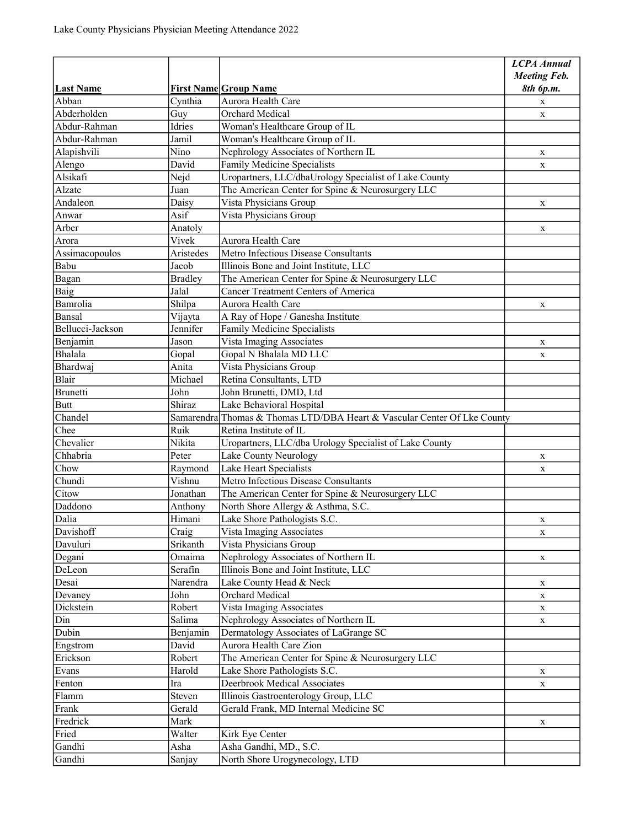|                  |                |                                                                          | <b>LCPA Annual</b>  |
|------------------|----------------|--------------------------------------------------------------------------|---------------------|
|                  |                |                                                                          | <b>Meeting Feb.</b> |
| <b>Last Name</b> |                | <b>First Name Group Name</b>                                             | 8th 6p.m.           |
| Abban            | Cynthia        | Aurora Health Care                                                       | X                   |
| Abderholden      | Guy            | Orchard Medical                                                          | $\mathbf{X}$        |
| Abdur-Rahman     | Idries         | Woman's Healthcare Group of IL                                           |                     |
| Abdur-Rahman     | Jamil          | Woman's Healthcare Group of IL                                           |                     |
| Alapishvili      | Nino           | Nephrology Associates of Northern IL                                     | $\mathbf x$         |
| Alengo           | David          | Family Medicine Specialists                                              | X                   |
| Alsikafi         | Nejd           | Uropartners, LLC/dbaUrology Specialist of Lake County                    |                     |
| Alzate           | Juan           | The American Center for Spine & Neurosurgery LLC                         |                     |
| Andaleon         | Daisy          | Vista Physicians Group                                                   | X                   |
| Anwar            | Asif           | Vista Physicians Group                                                   |                     |
| Arber            | Anatoly        |                                                                          | X                   |
| Arora            | Vivek          | Aurora Health Care                                                       |                     |
| Assimacopoulos   | Aristedes      | Metro Infectious Disease Consultants                                     |                     |
| Babu             | Jacob          | Illinois Bone and Joint Institute, LLC                                   |                     |
| Bagan            | <b>Bradley</b> | The American Center for Spine & Neurosurgery LLC                         |                     |
| Baig             | Jalal          | Cancer Treatment Centers of America                                      |                     |
| Bamrolia         | Shilpa         | Aurora Health Care                                                       | X                   |
| Bansal           | Vijayta        | A Ray of Hope / Ganesha Institute                                        |                     |
| Bellucci-Jackson | Jennifer       | Family Medicine Specialists                                              |                     |
| Benjamin         | Jason          | Vista Imaging Associates                                                 | X                   |
| Bhalala          | Gopal          | Gopal N Bhalala MD LLC                                                   | X                   |
| Bhardwaj         | Anita          | Vista Physicians Group                                                   |                     |
| Blair            | Michael        | Retina Consultants, LTD                                                  |                     |
| Brunetti         | John           | John Brunetti, DMD, Ltd                                                  |                     |
| <b>Butt</b>      | Shiraz         | Lake Behavioral Hospital                                                 |                     |
| Chandel          |                | Samarendra Thomas & Thomas LTD/DBA Heart & Vascular Center Of Lke County |                     |
| Chee             | Ruik           | Retina Institute of IL                                                   |                     |
| Chevalier        | Nikita         | Uropartners, LLC/dba Urology Specialist of Lake County                   |                     |
| Chhabria         | Peter          | Lake County Neurology                                                    | X                   |
| Chow             | Raymond        | Lake Heart Specialists                                                   | X                   |
| Chundi           | Vishnu         | Metro Infectious Disease Consultants                                     |                     |
| Citow            | Jonathan       | The American Center for Spine & Neurosurgery LLC                         |                     |
| Daddono          | Anthony        | North Shore Allergy & Asthma, S.C.                                       |                     |
| Dalia            | Himani         | Lake Shore Pathologists S.C.                                             | X                   |
| Davishoff        | Craig          | Vista Imaging Associates                                                 | $\mathbf X$         |
| Davuluri         | Srikanth       | Vista Physicians Group                                                   |                     |
| Degani           | Omaima         | Nephrology Associates of Northern IL                                     | X                   |
| DeLeon           | Serafin        | Illinois Bone and Joint Institute, LLC                                   |                     |
| Desai            | Narendra       | Lake County Head & Neck                                                  | X                   |
| Devaney          | John           | Orchard Medical                                                          | X                   |
| Dickstein        | Robert         | Vista Imaging Associates                                                 | $\mathbf{X}$        |
| Din              | Salima         | Nephrology Associates of Northern IL                                     | X                   |
| Dubin            | Benjamin       | Dermatology Associates of LaGrange SC                                    |                     |
| Engstrom         | David          | Aurora Health Care Zion                                                  |                     |
| Erickson         | Robert         | The American Center for Spine & Neurosurgery LLC                         |                     |
| Evans            | Harold         | Lake Shore Pathologists S.C.                                             | X                   |
| Fenton           | Ira            | Deerbrook Medical Associates                                             | $\mathbf X$         |
| Flamm            | Steven         | Illinois Gastroenterology Group, LLC                                     |                     |
| Frank            | Gerald         | Gerald Frank, MD Internal Medicine SC                                    |                     |
| Fredrick         | Mark           |                                                                          | $\mathbf X$         |
| Fried            | Walter         | Kirk Eye Center                                                          |                     |
| Gandhi           | Asha           | Asha Gandhi, MD., S.C.                                                   |                     |
| Gandhi           | Sanjay         | North Shore Urogynecology, LTD                                           |                     |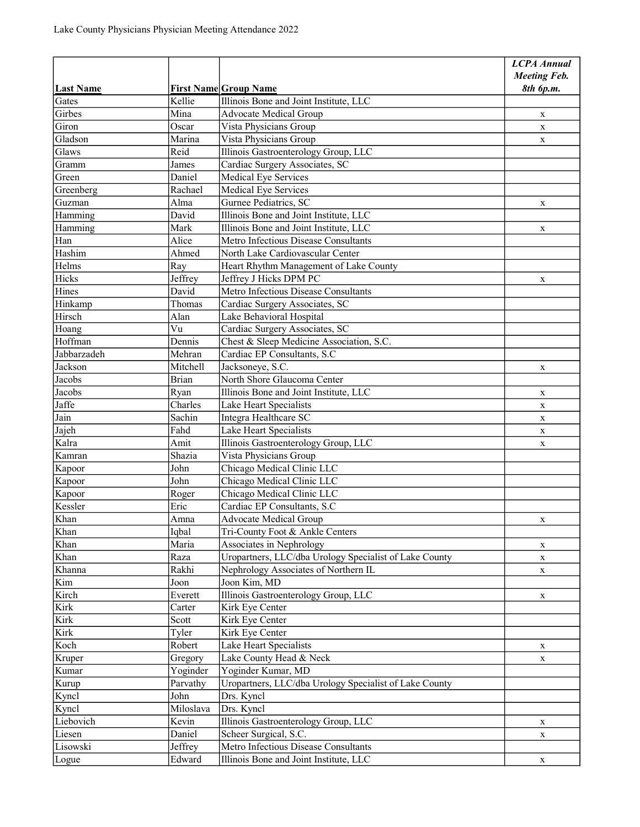|                     |                          |                                                                                    | <b>LCPA Annual</b>  |
|---------------------|--------------------------|------------------------------------------------------------------------------------|---------------------|
|                     |                          |                                                                                    | <b>Meeting Feb.</b> |
| <b>Last Name</b>    |                          | <b>First Name Group Name</b>                                                       | 8th 6p.m.           |
| Gates               | Kellie                   | Illinois Bone and Joint Institute, LLC                                             |                     |
| Girbes<br>Giron     | Mina                     | <b>Advocate Medical Group</b>                                                      | X                   |
| Gladson             | Oscar<br>Marina          | Vista Physicians Group                                                             | $\mathbf{X}$        |
| Glaws               | Reid                     | Vista Physicians Group<br>Illinois Gastroenterology Group, LLC                     | X                   |
| Gramm               |                          | Cardiac Surgery Associates, SC                                                     |                     |
| Green               | James<br>Daniel          | Medical Eye Services                                                               |                     |
|                     |                          |                                                                                    |                     |
| Greenberg<br>Guzman | Rachael<br>Alma          | Medical Eye Services<br>Gurnee Pediatrics, SC                                      |                     |
| Hamming             | David                    | Illinois Bone and Joint Institute, LLC                                             | X                   |
| Hamming             | Mark                     | Illinois Bone and Joint Institute, LLC                                             |                     |
|                     | Alice                    | Metro Infectious Disease Consultants                                               | X                   |
| Han<br>Hashim       | Ahmed                    | North Lake Cardiovascular Center                                                   |                     |
| Helms               | Ray                      |                                                                                    |                     |
| Hicks               |                          | Heart Rhythm Management of Lake County<br>Jeffrey J Hicks DPM PC                   |                     |
| Hines               | Jeffrey<br>David         | Metro Infectious Disease Consultants                                               | X                   |
|                     | Thomas                   |                                                                                    |                     |
| Hinkamp             |                          | Cardiac Surgery Associates, SC                                                     |                     |
| Hirsch              | Alan<br>Vu               | Lake Behavioral Hospital<br>Cardiac Surgery Associates, SC                         |                     |
| Hoang<br>Hoffman    | Dennis                   |                                                                                    |                     |
|                     |                          | Chest & Sleep Medicine Association, S.C.                                           |                     |
| Jabbarzadeh         | Mehran                   | Cardiac EP Consultants, S.C                                                        |                     |
| Jackson<br>Jacobs   | Mitchell<br><b>Brian</b> | Jacksoneye, S.C.<br>North Shore Glaucoma Center                                    | X                   |
|                     |                          |                                                                                    |                     |
| Jacobs              | Ryan                     | Illinois Bone and Joint Institute, LLC                                             | $\mathbf X$         |
| Jaffe<br>Jain       | Charles                  | Lake Heart Specialists                                                             | $\mathbf X$         |
|                     | Sachin                   | Integra Healthcare SC                                                              | $\mathbf X$         |
| Jajeh<br>Kalra      | Fahd                     | Lake Heart Specialists                                                             | $\mathbf X$         |
|                     | Amit<br>Shazia           | Illinois Gastroenterology Group, LLC                                               | X                   |
| Kamran              | John                     | Vista Physicians Group<br>Chicago Medical Clinic LLC                               |                     |
| Kapoor              | John                     |                                                                                    |                     |
| Kapoor              |                          | Chicago Medical Clinic LLC                                                         |                     |
| Kapoor              | Roger                    | Chicago Medical Clinic LLC                                                         |                     |
| Kessler<br>Khan     | Eric                     | Cardiac EP Consultants, S.C<br><b>Advocate Medical Group</b>                       |                     |
| Khan                | Amna                     |                                                                                    | X                   |
| Khan                | Iqbal<br>Maria           | Tri-County Foot & Ankle Centers                                                    |                     |
|                     |                          | Associates in Nephrology<br>Uropartners, LLC/dba Urology Specialist of Lake County | X                   |
| Khan<br>Khanna      | Raza                     | Nephrology Associates of Northern IL                                               | X                   |
| Kim                 | Rakhi                    | Joon Kim, MD                                                                       | X                   |
|                     | Joon                     |                                                                                    |                     |
| Kirch               | Everett                  | Illinois Gastroenterology Group, LLC                                               | X                   |
| Kirk                | Carter                   | Kirk Eye Center                                                                    |                     |
| Kirk                | Scott                    | Kirk Eye Center                                                                    |                     |
| Kirk                | Tyler                    | Kirk Eye Center                                                                    |                     |
| Koch                | Robert                   | Lake Heart Specialists                                                             | X                   |
| Kruper              | Gregory                  | Lake County Head & Neck                                                            | X                   |
| Kumar               | Yoginder                 | Yoginder Kumar, MD                                                                 |                     |
| Kurup               | Parvathy                 | Uropartners, LLC/dba Urology Specialist of Lake County                             |                     |
| Kyncl               | John                     | Drs. Kyncl                                                                         |                     |
| Kyncl               | Miloslava                | Drs. Kyncl                                                                         |                     |
| Liebovich           | Kevin                    | Illinois Gastroenterology Group, LLC                                               | X                   |
| Liesen              | Daniel                   | Scheer Surgical, S.C.                                                              | X                   |
| Lisowski            | Jeffrey                  | Metro Infectious Disease Consultants                                               |                     |
| Logue               | Edward                   | Illinois Bone and Joint Institute, LLC                                             | X                   |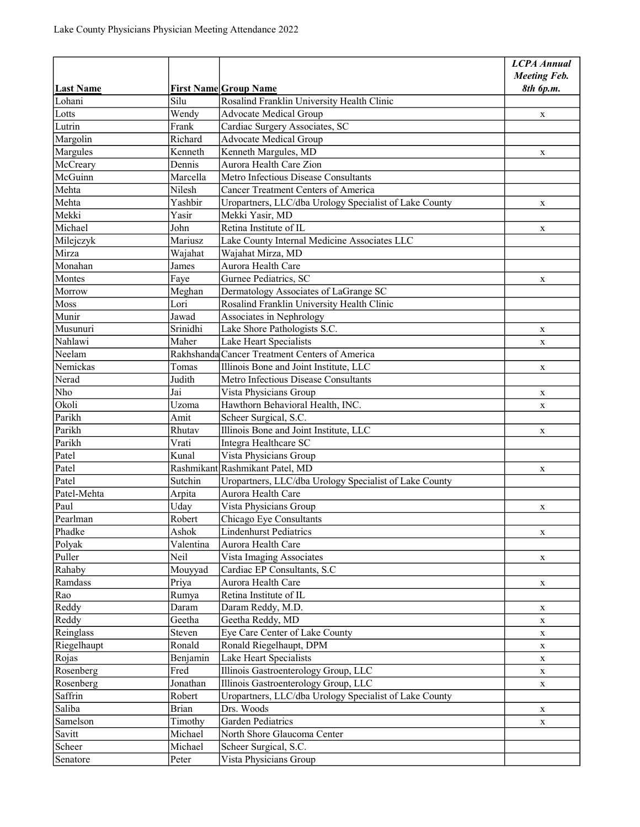|                  |              |                                                        | <b>LCPA Annual</b><br><b>Meeting Feb.</b> |
|------------------|--------------|--------------------------------------------------------|-------------------------------------------|
| <b>Last Name</b> |              | <b>First Name Group Name</b>                           | 8th 6p.m.                                 |
| Lohani           | Silu         | Rosalind Franklin University Health Clinic             |                                           |
| Lotts            | Wendy        | <b>Advocate Medical Group</b>                          | X                                         |
| Lutrin           | Frank        | Cardiac Surgery Associates, SC                         |                                           |
| Margolin         | Richard      | Advocate Medical Group                                 |                                           |
| Margules         | Kenneth      | Kenneth Margules, MD                                   | X                                         |
| McCreary         | Dennis       | Aurora Health Care Zion                                |                                           |
| McGuinn          | Marcella     | Metro Infectious Disease Consultants                   |                                           |
| Mehta            | Nilesh       | <b>Cancer Treatment Centers of America</b>             |                                           |
| Mehta            | Yashbir      | Uropartners, LLC/dba Urology Specialist of Lake County | X                                         |
| Mekki            | Yasir        | Mekki Yasir, MD                                        |                                           |
| Michael          | John         | Retina Institute of IL                                 | X                                         |
| Milejczyk        | Mariusz      | Lake County Internal Medicine Associates LLC           |                                           |
| Mirza            | Wajahat      | Wajahat Mirza, MD                                      |                                           |
| Monahan          | James        | Aurora Health Care                                     |                                           |
| Montes           | Faye         | Gurnee Pediatrics, SC                                  | X                                         |
| Morrow           | Meghan       | Dermatology Associates of LaGrange SC                  |                                           |
| Moss             | Lori         | Rosalind Franklin University Health Clinic             |                                           |
| Munir            | Jawad        | Associates in Nephrology                               |                                           |
| Musunuri         | Srinidhi     | Lake Shore Pathologists S.C.                           | X                                         |
| Nahlawi          | Maher        | Lake Heart Specialists                                 | $\mathbf X$                               |
| Neelam           |              | Rakhshanda Cancer Treatment Centers of America         |                                           |
| Nemickas         | Tomas        | Illinois Bone and Joint Institute, LLC                 | $\mathbf X$                               |
| Nerad            | Judith       | Metro Infectious Disease Consultants                   |                                           |
| Nho              | Jai          | Vista Physicians Group                                 |                                           |
| Okoli            | Uzoma        | Hawthorn Behavioral Health, INC.                       | X<br>$\mathbf X$                          |
| Parikh           | Amit         | Scheer Surgical, S.C.                                  |                                           |
| Parikh           | Rhutav       | Illinois Bone and Joint Institute, LLC                 | X                                         |
| Parikh           | Vrati        | Integra Healthcare SC                                  |                                           |
| Patel            | Kunal        | Vista Physicians Group                                 |                                           |
| Patel            |              | Rashmikant Rashmikant Patel, MD                        | X                                         |
| Patel            | Sutchin      | Uropartners, LLC/dba Urology Specialist of Lake County |                                           |
| Patel-Mehta      | Arpita       | Aurora Health Care                                     |                                           |
| Paul             | Uday         | Vista Physicians Group                                 | $\mathbf X$                               |
| Pearlman         | Robert       | Chicago Eye Consultants                                |                                           |
| Phadke           | Ashok        | <b>Lindenhurst Pediatrics</b>                          |                                           |
| Polyak           | Valentina    | Aurora Health Care                                     | X                                         |
| Puller           | Neil         | Vista Imaging Associates                               | X                                         |
| Rahaby           | Mouyyad      | Cardiac EP Consultants, S.C                            |                                           |
| Ramdass          | Priya        | Aurora Health Care                                     | X                                         |
| Rao              | Rumya        | Retina Institute of IL                                 |                                           |
| Reddy            | Daram        | Daram Reddy, M.D.                                      | X                                         |
| Reddy            | Geetha       | Geetha Reddy, MD                                       | X                                         |
| Reinglass        | Steven       | Eye Care Center of Lake County                         |                                           |
| Riegelhaupt      | Ronald       | Ronald Riegelhaupt, DPM                                | X                                         |
| Rojas            | Benjamin     | Lake Heart Specialists                                 | X                                         |
| Rosenberg        | Fred         | Illinois Gastroenterology Group, LLC                   | X                                         |
| Rosenberg        | Jonathan     | Illinois Gastroenterology Group, LLC                   | $\mathbf X$                               |
| Saffrin          | Robert       | Uropartners, LLC/dba Urology Specialist of Lake County | $\mathbf X$                               |
| Saliba           | <b>Brian</b> | Drs. Woods                                             |                                           |
| Samelson         | Timothy      | Garden Pediatrics                                      | X                                         |
| Savitt           | Michael      | North Shore Glaucoma Center                            | $\mathbf X$                               |
|                  |              |                                                        |                                           |
| Scheer           | Michael      | Scheer Surgical, S.C.                                  |                                           |
| Senatore         | Peter        | Vista Physicians Group                                 |                                           |